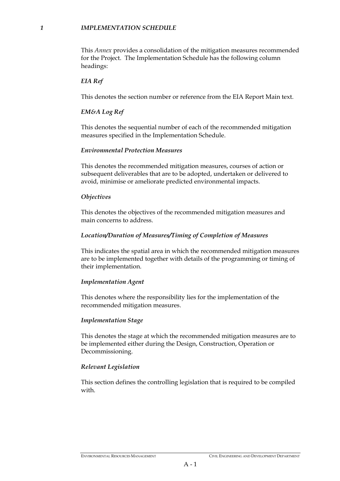#### *1 IMPLEMENTATION SCHEDULE*

This *Annex* provides a consolidation of the mitigation measures recommended for the Project. The Implementation Schedule has the following column headings:

#### *EIA Ref*

This denotes the section number or reference from the EIA Report Main text.

# *EM&A Log Ref*

This denotes the sequential number of each of the recommended mitigation measures specified in the Implementation Schedule.

### *Environmental Protection Measures*

This denotes the recommended mitigation measures, courses of action or subsequent deliverables that are to be adopted, undertaken or delivered to avoid, minimise or ameliorate predicted environmental impacts.

### *Objectives*

This denotes the objectives of the recommended mitigation measures and main concerns to address.

### *Location/Duration of Measures/Timing of Completion of Measures*

This indicates the spatial area in which the recommended mitigation measures are to be implemented together with details of the programming or timing of their implementation.

# *Implementation Agent*

This denotes where the responsibility lies for the implementation of the recommended mitigation measures.

#### *Implementation Stage*

This denotes the stage at which the recommended mitigation measures are to be implemented either during the Design, Construction, Operation or Decommissioning.

# *Relevant Legislation*

This section defines the controlling legislation that is required to be compiled with.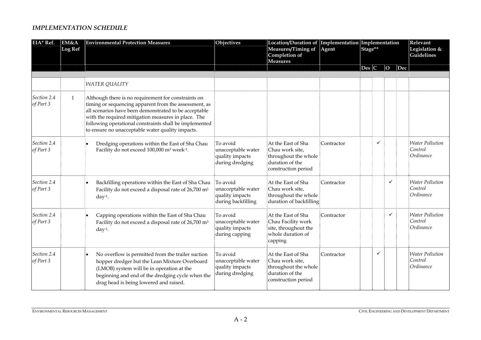### *IMPLEMENTATION SCHEDULE*

| EIA* Ref.                | EM&A<br><b>Log Ref</b> | <b>Environmental Protection Measures</b>                                                                                                                                                                                                                                                                                                   | Objectives                                                              | Location/Duration of Implementation Implementation<br>Measures/Timing of<br>Completion of<br><b>Measures</b> | Agent      | Stage** |   |                |     | Relevant<br>Legislation &<br>Guidelines        |
|--------------------------|------------------------|--------------------------------------------------------------------------------------------------------------------------------------------------------------------------------------------------------------------------------------------------------------------------------------------------------------------------------------------|-------------------------------------------------------------------------|--------------------------------------------------------------------------------------------------------------|------------|---------|---|----------------|-----|------------------------------------------------|
|                          |                        |                                                                                                                                                                                                                                                                                                                                            |                                                                         |                                                                                                              |            | Des C   |   | $\overline{O}$ | Dec |                                                |
|                          |                        |                                                                                                                                                                                                                                                                                                                                            |                                                                         |                                                                                                              |            |         |   |                |     |                                                |
|                          |                        | <b>WATER QUALITY</b>                                                                                                                                                                                                                                                                                                                       |                                                                         |                                                                                                              |            |         |   |                |     |                                                |
| Section 2.4<br>of Part 3 | $\mathbf{1}$           | Although there is no requirement for constraints on<br>timing or sequencing apparent from the assessment, as<br>all scenarios have been demonstrated to be acceptable<br>with the required mitigation measures in place. The<br>following operational constraints shall be implemented<br>to ensure no unacceptable water quality impacts. |                                                                         |                                                                                                              |            |         |   |                |     |                                                |
| Section 2.4<br>of Part 3 |                        | Dredging operations within the East of Sha Chau<br>Facility do not exceed 100,000 m <sup>3</sup> week <sup>-1</sup> .                                                                                                                                                                                                                      | To avoid<br>unacceptable water<br>quality impacts<br>during dredging    | At the East of Sha<br>Chau work site,<br>throughout the whole<br>duration of the<br>construction period      | Contractor |         | ✓ |                |     | <b>Water Pollution</b><br>Control<br>Ordinance |
| Section 2.4<br>of Part 3 |                        | Backfilling operations within the East of Sha Chau<br>Facility do not exceed a disposal rate of 26,700 m <sup>3</sup><br>$day-1$ .                                                                                                                                                                                                         | To avoid<br>unacceptable water<br>quality impacts<br>during backfilling | At the East of Sha<br>Chau work site,<br>throughout the whole<br>duration of backfilling                     | Contractor |         |   | ✓              |     | <b>Water Pollution</b><br>Control<br>Ordinance |
| Section 2.4<br>of Part 3 |                        | Capping operations within the East of Sha Chau<br>Facility do not exceed a disposal rate of 26,700 m <sup>3</sup><br>$day-1$ .                                                                                                                                                                                                             | To avoid<br>unacceptable water<br>quality impacts<br>during capping     | At the East of Sha<br>Chau Facility work<br>site, throughout the<br>whole duration of<br>capping             | Contractor |         |   | $\checkmark$   |     | <b>Water Pollution</b><br>Control<br>Ordinance |
| Section 2.4<br>of Part 3 |                        | No overflow is permitted from the trailer suction<br>٠<br>hopper dredger but the Lean Mixture Overboard<br>(LMOB) system will be in operation at the<br>beginning and end of the dredging cycle when the<br>drag head is being lowered and raised.                                                                                         | To avoid<br>unacceptable water<br>quality impacts<br>during dredging    | At the East of Sha<br>Chau work site,<br>throughout the whole<br>duration of the<br>construction period      | Contractor |         | ✓ |                |     | <i>Water Pollution</i><br>Control<br>Ordinance |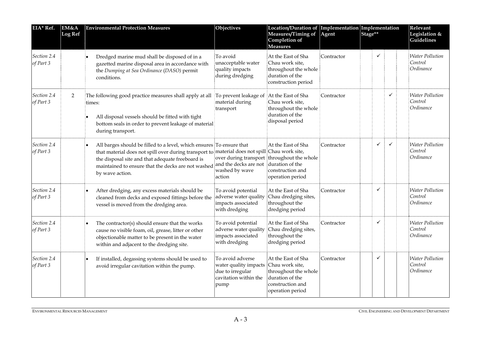| EIA* Ref.                | EM&A<br>Log Ref | <b>Environmental Protection Measures</b>                                                                                                                                                                                                                                                           | Objectives                                                                                                     | Location/Duration of<br>Measures/Timing of<br>Completion of<br><b>Measures</b>                                              | Agent      | Implementation Implementation<br>Stage** |   |              | Relevant<br>Legislation &<br>Guidelines        |  |
|--------------------------|-----------------|----------------------------------------------------------------------------------------------------------------------------------------------------------------------------------------------------------------------------------------------------------------------------------------------------|----------------------------------------------------------------------------------------------------------------|-----------------------------------------------------------------------------------------------------------------------------|------------|------------------------------------------|---|--------------|------------------------------------------------|--|
| Section 2.4<br>of Part 3 |                 | Dredged marine mud shall be disposed of in a<br>gazetted marine disposal area in accordance with<br>the Dumping at Sea Ordinance (DASO) permit<br>conditions.                                                                                                                                      | To avoid<br>unacceptable water<br>quality impacts<br>during dredging                                           | At the East of Sha<br>Chau work site,<br>throughout the whole<br>duration of the<br>construction period                     | Contractor |                                          | ✓ |              | <b>Water Pollution</b><br>Control<br>Ordinance |  |
| Section 2.4<br>of Part 3 | 2               | The following good practice measures shall apply at all<br>times:<br>All disposal vessels should be fitted with tight<br>bottom seals in order to prevent leakage of material<br>during transport.                                                                                                 | To prevent leakage of<br>material during<br>transport                                                          | At the East of Sha<br>Chau work site,<br>throughout the whole<br>duration of the<br>disposal period                         | Contractor |                                          |   | ✓            | Water Pollution<br>Control<br>Ordinance        |  |
| Section 2.4<br>of Part 3 |                 | All barges should be filled to a level, which ensures To ensure that<br>that material does not spill over during transport to material does not spill Chau work site,<br>the disposal site and that adequate freeboard is<br>maintained to ensure that the decks are not washed<br>by wave action. | and the decks are not<br>washed by wave<br>action                                                              | At the East of Sha<br>over during transport throughout the whole<br>duration of the<br>construction and<br>operation period | Contractor |                                          | ✓ | $\checkmark$ | Water Pollution<br>Control<br>Ordinance        |  |
| Section 2.4<br>of Part 3 |                 | After dredging, any excess materials should be<br>cleaned from decks and exposed fittings before the<br>vessel is moved from the dredging area.                                                                                                                                                    | To avoid potential<br>adverse water quality<br>impacts associated<br>with dredging                             | At the East of Sha<br>Chau dredging sites,<br>throughout the<br>dredging period                                             | Contractor |                                          | ✓ |              | <b>Water Pollution</b><br>Control<br>Ordinance |  |
| Section 2.4<br>of Part 3 |                 | The contractor(s) should ensure that the works<br>cause no visible foam, oil, grease, litter or other<br>objectionable matter to be present in the water<br>within and adjacent to the dredging site.                                                                                              | To avoid potential<br>adverse water quality<br>impacts associated<br>with dredging                             | At the East of Sha<br>Chau dredging sites,<br>throughout the<br>dredging period                                             | Contractor |                                          | ✓ |              | <b>Water Pollution</b><br>Control<br>Ordinance |  |
| Section 2.4<br>of Part 3 |                 | If installed, degassing systems should be used to<br>avoid irregular cavitation within the pump.                                                                                                                                                                                                   | To avoid adverse<br>water quality impacts Chau work site,<br>due to irregular<br>cavitation within the<br>pump | At the East of Sha<br>throughout the whole<br>duration of the<br>construction and<br>operation period                       | Contractor |                                          | ✓ |              | <b>Water Pollution</b><br>Control<br>Ordinance |  |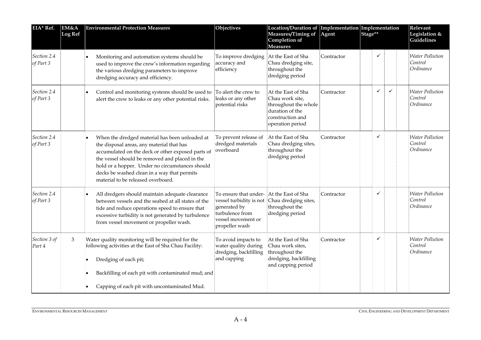| EIA* Ref.                | EM&A<br><b>Log Ref</b> | <b>Environmental Protection Measures</b>                                                                                                                                                                                                                                                                                                   | Objectives                                                                                                                                       | Location/Duration of Implementation Implementation<br>Measures/Timing of<br>Completion of<br><b>Measures</b>             | Agent      | Stage** |   |              | Relevant<br>Legislation &<br><b>Guidelines</b> |
|--------------------------|------------------------|--------------------------------------------------------------------------------------------------------------------------------------------------------------------------------------------------------------------------------------------------------------------------------------------------------------------------------------------|--------------------------------------------------------------------------------------------------------------------------------------------------|--------------------------------------------------------------------------------------------------------------------------|------------|---------|---|--------------|------------------------------------------------|
| Section 2.4<br>of Part 3 |                        | Monitoring and automation systems should be<br>used to improve the crew's information regarding<br>the various dredging parameters to improve<br>dredging accuracy and efficiency.                                                                                                                                                         | To improve dredging<br>accuracy and<br>efficiency                                                                                                | At the East of Sha<br>Chau dredging site,<br>throughout the<br>dredging period                                           | Contractor |         | ✓ |              | <b>Water Pollution</b><br>Control<br>Ordinance |
| Section 2.4<br>of Part 3 |                        | Control and monitoring systems should be used to<br>۱.<br>alert the crew to leaks or any other potential risks.                                                                                                                                                                                                                            | To alert the crew to<br>leaks or any other<br>potential risks                                                                                    | At the East of Sha<br>Chau work site,<br>throughout the whole<br>duration of the<br>construction and<br>operation period | Contractor |         | ✓ | $\checkmark$ | <b>Water Pollution</b><br>Control<br>Ordinance |
| Section 2.4<br>of Part 3 |                        | When the dredged material has been unloaded at<br>the disposal areas, any material that has<br>accumulated on the deck or other exposed parts of<br>the vessel should be removed and placed in the<br>hold or a hopper. Under no circumstances should<br>decks be washed clean in a way that permits<br>material to be released overboard. | To prevent release of<br>dredged materials<br>overboard                                                                                          | At the East of Sha<br>Chau dredging sites,<br>throughout the<br>dredging period                                          | Contractor |         | ✓ |              | <b>Water Pollution</b><br>Control<br>Ordinance |
| Section 2.4<br>of Part 3 |                        | All dredgers should maintain adequate clearance<br>between vessels and the seabed at all states of the<br>tide and reduce operations speed to ensure that<br>excessive turbidity is not generated by turbulence<br>from vessel movement or propeller wash.                                                                                 | To ensure that under-<br>vessel turbidity is not Chau dredging sites,<br>generated by<br>turbulence from<br>vessel movement or<br>propeller wash | At the East of Sha<br>throughout the<br>dredging period                                                                  | Contractor |         | ✓ |              | <b>Water Pollution</b><br>Control<br>Ordinance |
| Section 3 of<br>Part 4   | 3                      | Water quality monitoring will be required for the<br>following activities at the East of Sha Chau Facility:<br>Dredging of each pit;<br>Backfilling of each pit with contaminated mud; and<br>Capping of each pit with uncontaminated Mud.                                                                                                 | To avoid impacts to<br>water quality during<br>dredging, backfilling<br>and capping                                                              | At the East of Sha<br>Chau work sites,<br>throughout the<br>dredging, backfilling<br>and capping period                  | Contractor |         | ✓ |              | <b>Water Pollution</b><br>Control<br>Ordinance |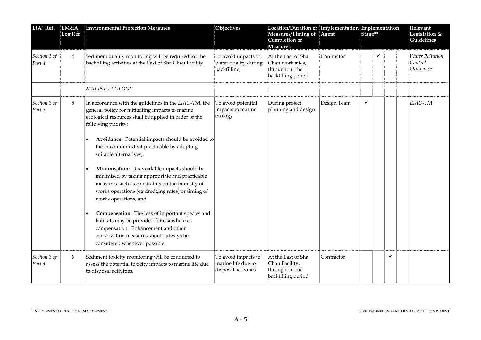| EIA* Ref.              | EM&A<br><b>Log Ref</b> | <b>Environmental Protection Measures</b>                                                                                                                                                                                                                                                                                                                                                                                                                                                                                                                                                                                                                                                                                                   | Objectives                                                       | Location/Duration of Implementation Implementation<br>Measures/Timing of<br>Completion of<br><b>Measures</b> | Agent       | Stage** |   | Relevant<br>Legislation &<br>Guidelines |                                                |
|------------------------|------------------------|--------------------------------------------------------------------------------------------------------------------------------------------------------------------------------------------------------------------------------------------------------------------------------------------------------------------------------------------------------------------------------------------------------------------------------------------------------------------------------------------------------------------------------------------------------------------------------------------------------------------------------------------------------------------------------------------------------------------------------------------|------------------------------------------------------------------|--------------------------------------------------------------------------------------------------------------|-------------|---------|---|-----------------------------------------|------------------------------------------------|
| Section 3 of<br>Part 4 | $\overline{4}$         | Sediment quality monitoring will be required for the<br>backfilling activities at the East of Sha Chau Facility.                                                                                                                                                                                                                                                                                                                                                                                                                                                                                                                                                                                                                           | To avoid impacts to<br>water quality during<br>backfilling       | At the East of Sha<br>Chau work sites,<br>throughout the<br>backfilling period                               | Contractor  |         | ✓ |                                         | <b>Water Pollution</b><br>Control<br>Ordinance |
|                        |                        | MARINE ECOLOGY                                                                                                                                                                                                                                                                                                                                                                                                                                                                                                                                                                                                                                                                                                                             |                                                                  |                                                                                                              |             |         |   |                                         |                                                |
| Section 3 of<br>Part 3 | 5                      | In accordance with the guidelines in the EIAO-TM, the<br>general policy for mitigating impacts to marine<br>ecological resources shall be applied in order of the<br>following priority:<br>Avoidance: Potential impacts should be avoided to<br>the maximum extent practicable by adopting<br>suitable alternatives;<br>Minimisation: Unavoidable impacts should be<br>minimised by taking appropriate and practicable<br>measures such as constraints on the intensity of<br>works operations (eg dredging rates) or timing of<br>works operations; and<br>Compensation: The loss of important species and<br>habitats may be provided for elsewhere as<br>compensation. Enhancement and other<br>conservation measures should always be | To avoid potential<br>impacts to marine<br>ecology               | During project<br>planning and design                                                                        | Design Team | ✓       |   |                                         | EIAO-TM                                        |
|                        |                        | considered whenever possible.                                                                                                                                                                                                                                                                                                                                                                                                                                                                                                                                                                                                                                                                                                              |                                                                  |                                                                                                              |             |         |   |                                         |                                                |
| Section 3 of<br>Part 4 | 6                      | Sediment toxicity monitoring will be conducted to<br>assess the potential toxicity impacts to marine life due<br>to disposal activities.                                                                                                                                                                                                                                                                                                                                                                                                                                                                                                                                                                                                   | To avoid impacts to<br>marine life due to<br>disposal activities | At the East of Sha<br>Chau Facility,<br>throughout the<br>backfilling period                                 | Contractor  |         |   | $\checkmark$                            |                                                |